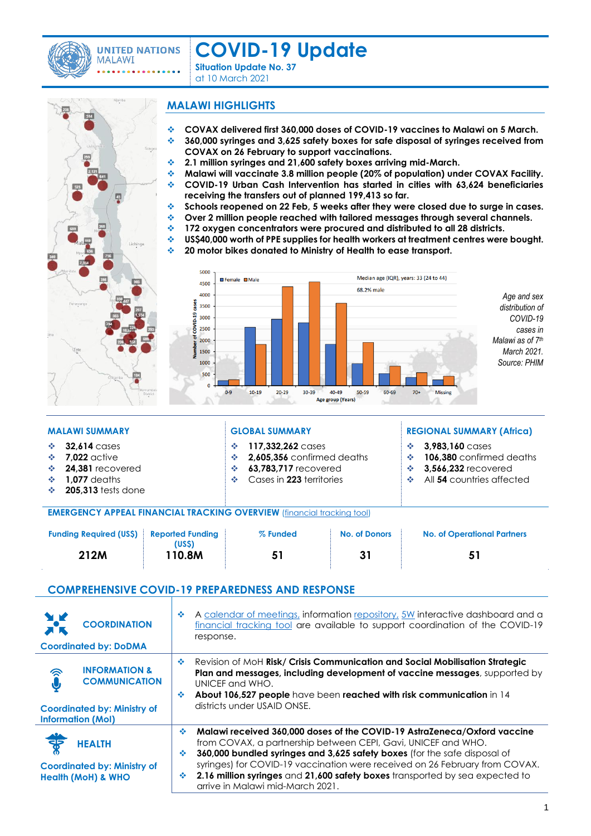

**UNITED NATIONS MALAWI** 

# **COVID-19 Update**

**Situation Update No. 37** at 10 March <sup>2021</sup>

# Lichinga

## **MALAWI HIGHLIGHTS**

- ❖ **COVAX delivered first 360,000 doses of COVID-19 vaccines to Malawi on 5 March.**
- ❖ **360,000 syringes and 3,625 safety boxes for safe disposal of syringes received from COVAX on 26 February to support vaccinations.**
- ❖ **2.1 million syringes and 21,600 safety boxes arriving mid-March.**
- ❖ **Malawi will vaccinate 3.8 million people (20% of population) under COVAX Facility.** ❖ **COVID-19 Urban Cash Intervention has started in cities with 63,624 beneficiaries**
- **receiving the transfers out of planned 199,413 so far.**
- ❖ **Schools reopened on 22 Feb, 5 weeks after they were closed due to surge in cases.**
- ❖ **Over 2 million people reached with tailored messages through several channels.**
- ❖ **172 oxygen concentrators were procured and distributed to all 28 districts.**
- ❖ **US\$40,000 worth of PPE supplies for health workers at treatment centres were bought.**
- ❖ **20 motor bikes donated to Ministry of Health to ease transport.**



❖ **3,983,160** cases

❖ **106,380** confirmed deaths ❖ **3,566,232** recovered ❖ All **54** countries affected

### **MALAWI SUMMARY GLOBAL SUMMARY REGIONAL SUMMARY (Africa)**

### ❖ **32,614** cases

- ❖ **7,022** active
- ❖ **24,381** recovered
- ❖ **1,077** deaths
- ❖ **205,313** tests done
- 

### **EMERGENCY APPEAL FINANCIAL TRACKING OVERVIEW** [\(financial tracking tool\)](https://app.powerbi.com/view?r=eyJrIjoiOTllZTlkZDktZjI1Yy00OWI5LWE3ZDQtZjJkMzcwZjM0OWNlIiwidCI6ImIzZTVkYjVlLTI5NDQtNDgzNy05OWY1LTc0ODhhY2U1NDMxOSIsImMiOjh9&pageName=ReportSection)

| <b>Funding Required (US\$)</b> Reported Funding | (USS)  | % Funded | <b>No. of Donors</b> | No. of Operational Partners |
|-------------------------------------------------|--------|----------|----------------------|-----------------------------|
| 212M                                            | 110.8M |          |                      |                             |

❖ **117,332,262** cases

❖ **2,605,356** confirmed deaths ❖ **63,783,717** recovered ❖ Cases in **223** territories

# **COMPREHENSIVE COVID-19 PREPAREDNESS AND RESPONSE**

| <b>MA</b><br><b>ALK</b> | <b>COORDINATION</b><br><b>Coordinated by: DoDMA</b>                                                                | 壘           | A calendar of meetings, information repository, 5W interactive dashboard and a<br>financial tracking tool are available to support coordination of the COVID-19<br>response.                                                                                                                                                                                                                                              |
|-------------------------|--------------------------------------------------------------------------------------------------------------------|-------------|---------------------------------------------------------------------------------------------------------------------------------------------------------------------------------------------------------------------------------------------------------------------------------------------------------------------------------------------------------------------------------------------------------------------------|
|                         | <b>INFORMATION &amp;</b><br><b>COMMUNICATION</b><br><b>Coordinated by: Ministry of</b><br><b>Information (MoI)</b> | ൟ<br>壘      | Revision of MoH Risk/ Crisis Communication and Social Mobilisation Strategic<br>Plan and messages, including development of vaccine messages, supported by<br>UNICEF and WHO.<br>About 106,527 people have been reached with risk communication in 14<br>districts under USAID ONSE.                                                                                                                                      |
|                         | <b>HEALTH</b><br><b>Coordinated by: Ministry of</b><br><b>Health (MoH) &amp; WHO</b>                               | ٠<br>❖<br>❖ | Malawi received 360,000 doses of the COVID-19 AstraZeneca/Oxford vaccine<br>from COVAX, a partnership between CEPI, Gavi, UNICEF and WHO.<br>360,000 bundled syringes and 3,625 safety boxes (for the safe disposal of<br>syringes) for COVID-19 vaccination were received on 26 February from COVAX.<br>2.16 million syringes and 21,600 safety boxes transported by sea expected to<br>arrive in Malawi mid-March 2021. |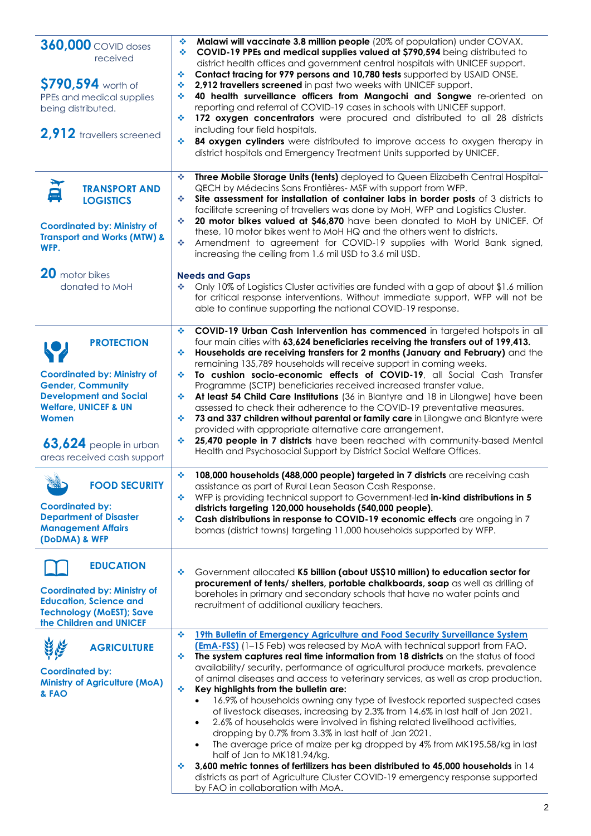| <b>360,000</b> COVID doses<br>received<br>\$790,594 worth of<br>PPEs and medical supplies<br>being distributed.<br>2,912 travellers screened                                                 | Malawi will vaccinate 3.8 million people (20% of population) under COVAX.<br>❖<br>٠<br>COVID-19 PPEs and medical supplies valued at \$790,594 being distributed to<br>district health offices and government central hospitals with UNICEF support.<br>Contact tracing for 979 persons and 10,780 tests supported by USAID ONSE.<br>٠<br>2,912 travellers screened in past two weeks with UNICEF support.<br>÷<br>40 health surveillance officers from Mangochi and Songwe re-oriented on<br>٠<br>reporting and referral of COVID-19 cases in schools with UNICEF support.<br>172 oxygen concentrators were procured and distributed to all 28 districts<br>٠<br>including four field hospitals.<br>٠<br>84 oxygen cylinders were distributed to improve access to oxygen therapy in<br>district hospitals and Emergency Treatment Units supported by UNICEF.                                                                                                                                                                                                                                                                                                 |
|----------------------------------------------------------------------------------------------------------------------------------------------------------------------------------------------|---------------------------------------------------------------------------------------------------------------------------------------------------------------------------------------------------------------------------------------------------------------------------------------------------------------------------------------------------------------------------------------------------------------------------------------------------------------------------------------------------------------------------------------------------------------------------------------------------------------------------------------------------------------------------------------------------------------------------------------------------------------------------------------------------------------------------------------------------------------------------------------------------------------------------------------------------------------------------------------------------------------------------------------------------------------------------------------------------------------------------------------------------------------|
| 近<br><b>TRANSPORT AND</b><br><b>LOGISTICS</b><br><b>Coordinated by: Ministry of</b><br><b>Transport and Works (MTW) &amp;</b><br>WFP.<br>20 motor bikes                                      | Three Mobile Storage Units (tents) deployed to Queen Elizabeth Central Hospital-<br>٠<br>QECH by Médecins Sans Frontières- MSF with support from WFP.<br>Site assessment for installation of container labs in border posts of 3 districts to<br>٠<br>facilitate screening of travellers was done by MoH, WFP and Logistics Cluster.<br>20 motor bikes valued at \$46,870 have been donated to MoH by UNICEF. Of<br>٠<br>these, 10 motor bikes went to MoH HQ and the others went to districts.<br>٠<br>Amendment to agreement for COVID-19 supplies with World Bank signed,<br>increasing the ceiling from 1.6 mil USD to 3.6 mil USD.<br><b>Needs and Gaps</b>                                                                                                                                                                                                                                                                                                                                                                                                                                                                                              |
| donated to MoH                                                                                                                                                                               | Only 10% of Logistics Cluster activities are funded with a gap of about \$1.6 million<br>❖<br>for critical response interventions. Without immediate support, WFP will not be<br>able to continue supporting the national COVID-19 response.<br>COVID-19 Urban Cash Intervention has commenced in targeted hotspots in all<br>❖                                                                                                                                                                                                                                                                                                                                                                                                                                                                                                                                                                                                                                                                                                                                                                                                                               |
| <b>PROTECTION</b><br><b>Coordinated by: Ministry of</b><br><b>Gender, Community</b><br><b>Development and Social</b><br><b>Welfare, UNICEF &amp; UN</b><br>Women<br>$63,624$ people in urban | four main cities with 63,624 beneficiaries receiving the transfers out of 199,413.<br>Households are receiving transfers for 2 months (January and February) and the<br>٠<br>remaining 135,789 households will receive support in coming weeks.<br>To cushion socio-economic effects of COVID-19, all Social Cash Transfer<br>٠<br>Programme (SCTP) beneficiaries received increased transfer value.<br>At least 54 Child Care Institutions (36 in Blantyre and 18 in Lilongwe) have been<br>❖<br>assessed to check their adherence to the COVID-19 preventative measures.<br>73 and 337 children without parental or family care in Lilongwe and Blantyre were<br>❖<br>provided with appropriate alternative care arrangement.<br>25,470 people in 7 districts have been reached with community-based Mental<br>❖                                                                                                                                                                                                                                                                                                                                            |
| areas received cash support<br>S.M<br><b>FOOD SECURITY</b><br><b>CAND</b><br><b>Coordinated by:</b><br><b>Department of Disaster</b><br><b>Management Affairs</b><br>(DoDMA) & WFP           | Health and Psychosocial Support by District Social Welfare Offices.<br>108,000 households (488,000 people) targeted in 7 districts are receiving cash<br>٠<br>assistance as part of Rural Lean Season Cash Response.<br>WFP is providing technical support to Government-led in-kind distributions in 5<br>٠<br>districts targeting 120,000 households (540,000 people).<br>Cash distributions in response to COVID-19 economic effects are ongoing in 7<br>❖<br>bomas (district towns) targeting 11,000 households supported by WFP.                                                                                                                                                                                                                                                                                                                                                                                                                                                                                                                                                                                                                         |
| <b>EDUCATION</b><br><b>Coordinated by: Ministry of</b><br><b>Education, Science and</b><br><b>Technology (MoEST); Save</b><br>the Children and UNICEF                                        | Government allocated K5 billion (about US\$10 million) to education sector for<br>❖<br>procurement of tents/ shelters, portable chalkboards, soap as well as drilling of<br>boreholes in primary and secondary schools that have no water points and<br>recruitment of additional auxiliary teachers.                                                                                                                                                                                                                                                                                                                                                                                                                                                                                                                                                                                                                                                                                                                                                                                                                                                         |
| <b>AGRICULTURE</b><br><b>Coordinated by:</b><br><b>Ministry of Agriculture (MoA)</b><br>& FAO                                                                                                | 19th Bulletin of Emergency Agriculture and Food Security Surveillance System<br>❖<br><b>(EmA-FSS)</b> (1-15 Feb) was released by MoA with technical support from FAO.<br>The system captures real time information from 18 districts on the status of food<br>❖<br>availability/security, performance of agricultural produce markets, prevalence<br>of animal diseases and access to veterinary services, as well as crop production.<br>Key highlights from the bulletin are:<br>٠<br>16.9% of households owning any type of livestock reported suspected cases<br>$\bullet$<br>of livestock diseases, increasing by 2.3% from 14.6% in last half of Jan 2021.<br>2.6% of households were involved in fishing related livelihood activities,<br>$\bullet$<br>dropping by 0.7% from 3.3% in last half of Jan 2021.<br>The average price of maize per kg dropped by 4% from MK195.58/kg in last<br>$\bullet$<br>half of Jan to MK181.94/kg.<br>3,600 metric tonnes of fertilizers has been distributed to 45,000 households in 14<br>❖<br>districts as part of Agriculture Cluster COVID-19 emergency response supported<br>by FAO in collaboration with MoA. |